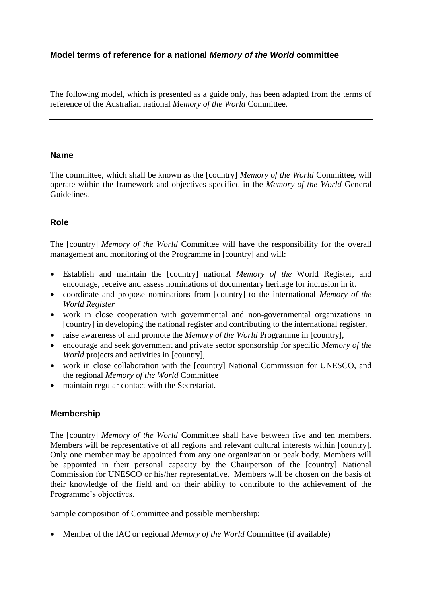## **Model terms of reference for a national** *Memory of the World* **committee**

The following model, which is presented as a guide only, has been adapted from the terms of reference of the Australian national *Memory of the World* Committee*.*

#### **Name**

The committee, which shall be known as the [country] *Memory of the World* Committee, will operate within the framework and objectives specified in the *Memory of the World* General Guidelines.

## **Role**

The [country] *Memory of the World* Committee will have the responsibility for the overall management and monitoring of the Programme in [country] and will:

- Establish and maintain the [country] national *Memory of the* World Register, and encourage, receive and assess nominations of documentary heritage for inclusion in it.
- coordinate and propose nominations from [country] to the international *Memory of the World Register*
- work in close cooperation with governmental and non-governmental organizations in [country] in developing the national register and contributing to the international register,
- raise awareness of and promote the *Memory of the World* Programme in [country],
- encourage and seek government and private sector sponsorship for specific *Memory of the World* projects and activities in [country],
- work in close collaboration with the [country] National Commission for UNESCO, and the regional *Memory of the World* Committee
- maintain regular contact with the Secretariat.

#### **Membership**

The [country] *Memory of the World* Committee shall have between five and ten members. Members will be representative of all regions and relevant cultural interests within [country]. Only one member may be appointed from any one organization or peak body. Members will be appointed in their personal capacity by the Chairperson of the [country] National Commission for UNESCO or his/her representative. Members will be chosen on the basis of their knowledge of the field and on their ability to contribute to the achievement of the Programme's objectives.

Sample composition of Committee and possible membership:

Member of the IAC or regional *Memory of the World* Committee (if available)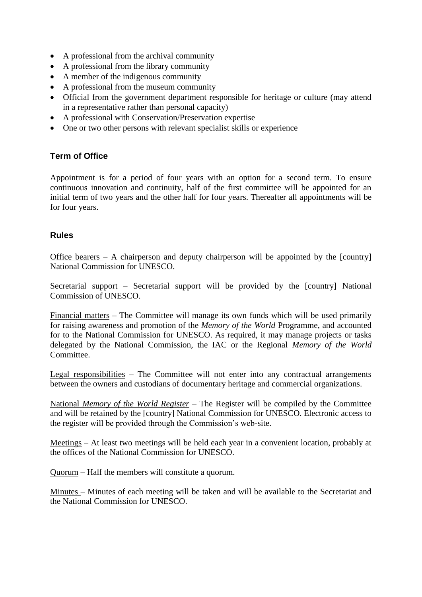- A professional from the archival community
- A professional from the library community
- A member of the indigenous community
- A professional from the museum community
- Official from the government department responsible for heritage or culture (may attend in a representative rather than personal capacity)
- A professional with Conservation/Preservation expertise
- One or two other persons with relevant specialist skills or experience

# **Term of Office**

Appointment is for a period of four years with an option for a second term. To ensure continuous innovation and continuity, half of the first committee will be appointed for an initial term of two years and the other half for four years. Thereafter all appointments will be for four years.

#### **Rules**

Office bearers – A chairperson and deputy chairperson will be appointed by the [country] National Commission for UNESCO.

Secretarial support – Secretarial support will be provided by the [country] National Commission of UNESCO.

Financial matters – The Committee will manage its own funds which will be used primarily for raising awareness and promotion of the *Memory of the World* Programme, and accounted for to the National Commission for UNESCO. As required, it may manage projects or tasks delegated by the National Commission, the IAC or the Regional *Memory of the World*  **Committee** 

Legal responsibilities – The Committee will not enter into any contractual arrangements between the owners and custodians of documentary heritage and commercial organizations.

National *Memory of the World Register* – The Register will be compiled by the Committee and will be retained by the [country] National Commission for UNESCO. Electronic access to the register will be provided through the Commission's web-site.

Meetings – At least two meetings will be held each year in a convenient location, probably at the offices of the National Commission for UNESCO.

Quorum – Half the members will constitute a quorum.

Minutes – Minutes of each meeting will be taken and will be available to the Secretariat and the National Commission for UNESCO.